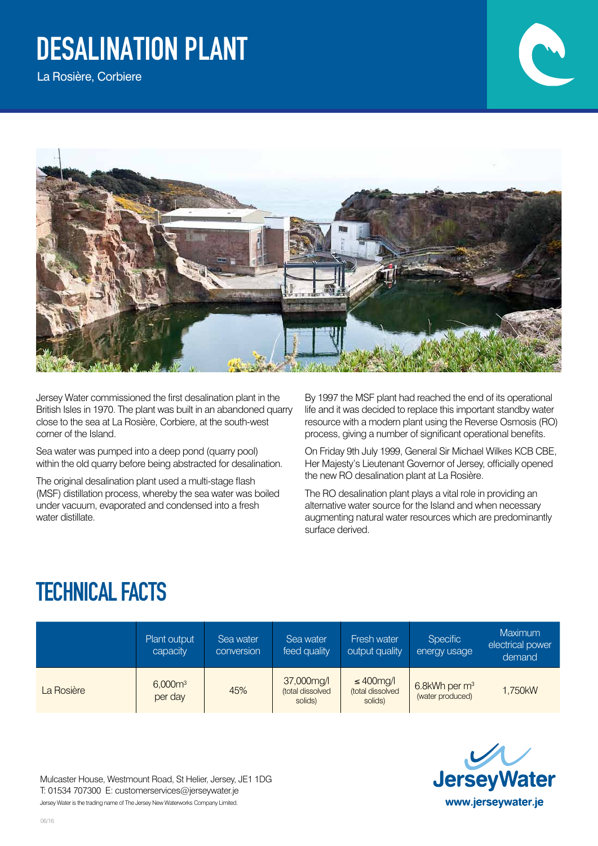## Desalination Plant

La Rosière, Corbiere



Jersey Water commissioned the first desalination plant in the British Isles in 1970. The plant was built in an abandoned quarry close to the sea at La Rosière, Corbiere, at the south-west corner of the Island.

Sea water was pumped into a deep pond (quarry pool) within the old quarry before being abstracted for desalination.

The original desalination plant used a multi-stage flash (MSF) distillation process, whereby the sea water was boiled under vacuum, evaporated and condensed into a fresh water distillate.

By 1997 the MSF plant had reached the end of its operational life and it was decided to replace this important standby water resource with a modern plant using the Reverse Osmosis (RO) process, giving a number of significant operational benefits.

On Friday 9th July 1999, General Sir Michael Wilkes KCB CBE, Her Majesty's Lieutenant Governor of Jersey, officially opened the new RO desalination plant at La Rosière.

The RO desalination plant plays a vital role in providing an alternative water source for the Island and when necessary augmenting natural water resources which are predominantly surface derived.

## TECHNICAL FACTS

|            | Plant output<br>capacity | Sea water<br>conversion | Sea water<br>feed quality                 | Fresh water<br>output quality                  | <b>Specific</b><br>energy usage     | Maximum<br>electrical power<br>demand |
|------------|--------------------------|-------------------------|-------------------------------------------|------------------------------------------------|-------------------------------------|---------------------------------------|
| La Rosière | $6,000m^3$<br>per day    | 45%                     | 37,000mg/l<br>(total dissolved<br>solids) | $\leq 400$ mg/l<br>(total dissolved<br>solids) | 6.8kWh per $m3$<br>(water produced) | 1,750kW                               |



Mulcaster House, Westmount Road, St Helier, Jersey, JE1 1DG T: 01534 707300 E: customerservices@jerseywater.je Jersey Water is the trading name of The Jersey New Waterworks Company Limited.